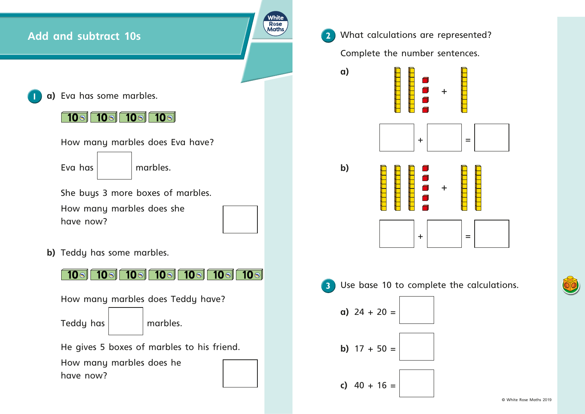